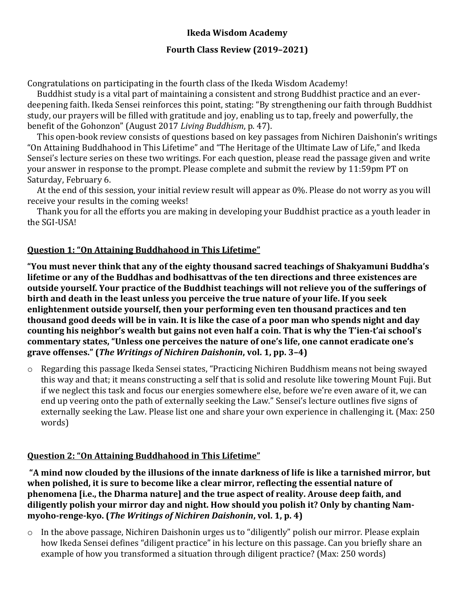## **Ikeda Wisdom Academy**

### **Fourth Class Review (2019–2021)**

Congratulations on participating in the fourth class of the Ikeda Wisdom Academy!

Buddhist study is a vital part of maintaining a consistent and strong Buddhist practice and an everdeepening faith. Ikeda Sensei reinforces this point, stating: "By strengthening our faith through Buddhist study, our prayers will be filled with gratitude and joy, enabling us to tap, freely and powerfully, the benefit of the Gohonzon" (August 2017 *Living Buddhism*, p. 47).

This open-book review consists of questions based on key passages from Nichiren Daishonin's writings "On Attaining Buddhahood in This Lifetime" and "The Heritage of the Ultimate Law of Life," and Ikeda Sensei's lecture series on these two writings. For each question, please read the passage given and write your answer in response to the prompt. Please complete and submit the review by 11:59pm PT on Saturday, February 6.

At the end of this session, your initial review result will appear as 0%. Please do not worry as you will receive your results in the coming weeks!

Thank you for all the efforts you are making in developing your Buddhist practice as a youth leader in the SGI-USA!

### **Question 1: "On Attaining Buddhahood in This Lifetime"**

**"You must never think that any of the eighty thousand sacred teachings of Shakyamuni Buddha's lifetime or any of the Buddhas and bodhisattvas of the ten directions and three existences are outside yourself. Your practice of the Buddhist teachings will not relieve you of the sufferings of birth and death in the least unless you perceive the true nature of your life. If you seek enlightenment outside yourself, then your performing even ten thousand practices and ten thousand good deeds will be in vain. It is like the case of a poor man who spends night and day counting his neighbor's wealth but gains not even half a coin. That is why the T'ien-t'ai school's commentary states, "Unless one perceives the nature of one's life, one cannot eradicate one's grave offenses." (***The Writings of Nichiren Daishonin***, vol. 1, pp. 3–4)**

o Regarding this passage Ikeda Sensei states, "Practicing Nichiren Buddhism means not being swayed this way and that; it means constructing a self that is solid and resolute like towering Mount Fuji. But if we neglect this task and focus our energies somewhere else, before we're even aware of it, we can end up veering onto the path of externally seeking the Law." Sensei's lecture outlines five signs of externally seeking the Law. Please list one and share your own experience in challenging it. (Max: 250 words)

#### **Question 2: "On Attaining Buddhahood in This Lifetime"**

**"A mind now clouded by the illusions of the innate darkness of life is like a tarnished mirror, but when polished, it is sure to become like a clear mirror, reflecting the essential nature of phenomena [i.e., the Dharma nature] and the true aspect of reality. Arouse deep faith, and diligently polish your mirror day and night. How should you polish it? Only by chanting Nammyoho-renge-kyo. (***The Writings of Nichiren Daishonin***, vol. 1, p. 4)**

o In the above passage, Nichiren Daishonin urges us to "diligently" polish our mirror. Please explain how Ikeda Sensei defines "diligent practice" in his lecture on this passage. Can you briefly share an example of how you transformed a situation through diligent practice? (Max: 250 words)